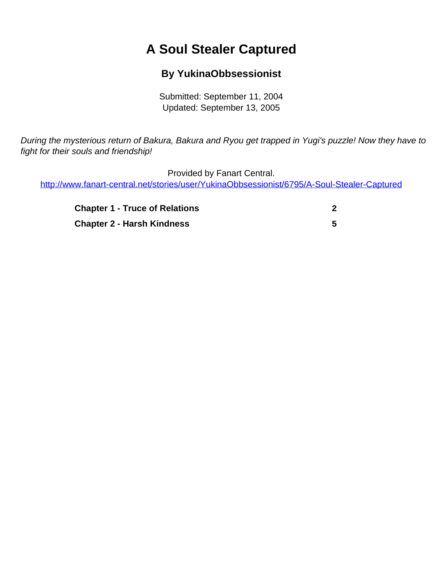## **A Soul Stealer Captured**

## **By YukinaObbsessionist**

Submitted: September 11, 2004 Updated: September 13, 2005

<span id="page-0-0"></span>During the mysterious return of Bakura, Bakura and Ryou get trapped in Yugi's puzzle! Now they have to fight for their souls and friendship!

Provided by Fanart Central.

[http://www.fanart-central.net/stories/user/YukinaObbsessionist/6795/A-Soul-Stealer-Captured](#page-0-0)

| <b>Chapter 1 - Truce of Relations</b> |  |
|---------------------------------------|--|
| <b>Chapter 2 - Harsh Kindness</b>     |  |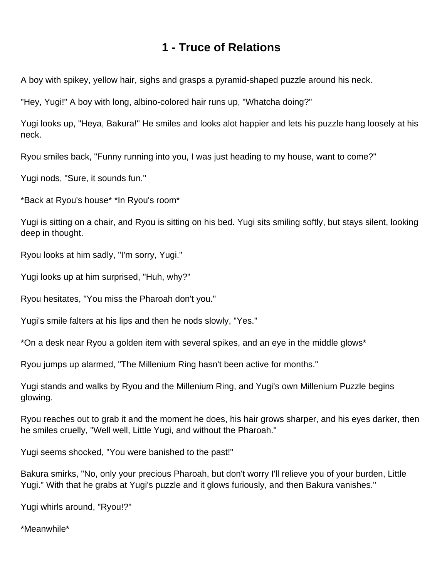## **1 - Truce of Relations**

<span id="page-1-0"></span>A boy with spikey, yellow hair, sighs and grasps a pyramid-shaped puzzle around his neck.

"Hey, Yugi!" A boy with long, albino-colored hair runs up, "Whatcha doing?"

Yugi looks up, "Heya, Bakura!" He smiles and looks alot happier and lets his puzzle hang loosely at his neck.

Ryou smiles back, "Funny running into you, I was just heading to my house, want to come?"

Yugi nods, "Sure, it sounds fun."

\*Back at Ryou's house\* \*In Ryou's room\*

Yugi is sitting on a chair, and Ryou is sitting on his bed. Yugi sits smiling softly, but stays silent, looking deep in thought.

Ryou looks at him sadly, "I'm sorry, Yugi."

Yugi looks up at him surprised, "Huh, why?"

Ryou hesitates, "You miss the Pharoah don't you."

Yugi's smile falters at his lips and then he nods slowly, "Yes."

\*On a desk near Ryou a golden item with several spikes, and an eye in the middle glows\*

Ryou jumps up alarmed, "The Millenium Ring hasn't been active for months."

Yugi stands and walks by Ryou and the Millenium Ring, and Yugi's own Millenium Puzzle begins glowing.

Ryou reaches out to grab it and the moment he does, his hair grows sharper, and his eyes darker, then he smiles cruelly, "Well well, Little Yugi, and without the Pharoah."

Yugi seems shocked, "You were banished to the past!"

Bakura smirks, "No, only your precious Pharoah, but don't worry I'll relieve you of your burden, Little Yugi." With that he grabs at Yugi's puzzle and it glows furiously, and then Bakura vanishes."

Yugi whirls around, "Ryou!?"

\*Meanwhile\*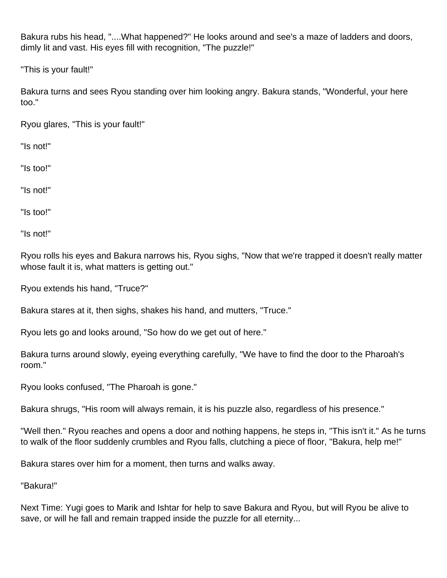Bakura rubs his head, "....What happened?" He looks around and see's a maze of ladders and doors, dimly lit and vast. His eyes fill with recognition, "The puzzle!"

"This is your fault!"

Bakura turns and sees Ryou standing over him looking angry. Bakura stands, "Wonderful, your here too."

Ryou glares, "This is your fault!"

"Is not!"

"Is too!"

"Is not!"

"Is too!"

"Is not!"

Ryou rolls his eyes and Bakura narrows his, Ryou sighs, "Now that we're trapped it doesn't really matter whose fault it is, what matters is getting out."

Ryou extends his hand, "Truce?"

Bakura stares at it, then sighs, shakes his hand, and mutters, "Truce."

Ryou lets go and looks around, "So how do we get out of here."

Bakura turns around slowly, eyeing everything carefully, "We have to find the door to the Pharoah's room."

Ryou looks confused, "The Pharoah is gone."

Bakura shrugs, "His room will always remain, it is his puzzle also, regardless of his presence."

"Well then." Ryou reaches and opens a door and nothing happens, he steps in, "This isn't it." As he turns to walk of the floor suddenly crumbles and Ryou falls, clutching a piece of floor, "Bakura, help me!"

Bakura stares over him for a moment, then turns and walks away.

"Bakura!"

Next Time: Yugi goes to Marik and Ishtar for help to save Bakura and Ryou, but will Ryou be alive to save, or will he fall and remain trapped inside the puzzle for all eternity...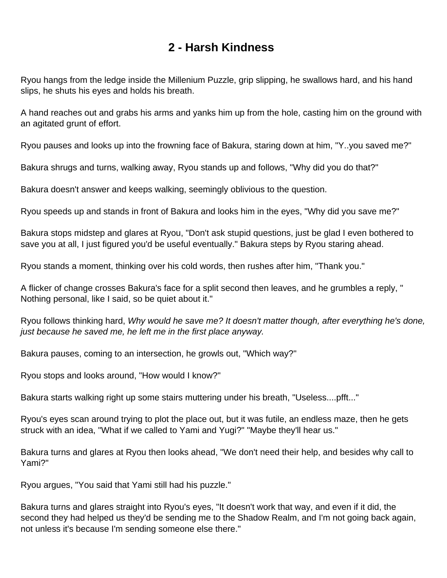## **2 - Harsh Kindness**

<span id="page-4-0"></span>Ryou hangs from the ledge inside the Millenium Puzzle, grip slipping, he swallows hard, and his hand slips, he shuts his eyes and holds his breath.

A hand reaches out and grabs his arms and yanks him up from the hole, casting him on the ground with an agitated grunt of effort.

Ryou pauses and looks up into the frowning face of Bakura, staring down at him, "Y..you saved me?"

Bakura shrugs and turns, walking away, Ryou stands up and follows, "Why did you do that?"

Bakura doesn't answer and keeps walking, seemingly oblivious to the question.

Ryou speeds up and stands in front of Bakura and looks him in the eyes, "Why did you save me?"

Bakura stops midstep and glares at Ryou, "Don't ask stupid questions, just be glad I even bothered to save you at all, I just figured you'd be useful eventually." Bakura steps by Ryou staring ahead.

Ryou stands a moment, thinking over his cold words, then rushes after him, "Thank you."

A flicker of change crosses Bakura's face for a split second then leaves, and he grumbles a reply, " Nothing personal, like I said, so be quiet about it."

Ryou follows thinking hard, Why would he save me? It doesn't matter though, after everything he's done, just because he saved me, he left me in the first place anyway.

Bakura pauses, coming to an intersection, he growls out, "Which way?"

Ryou stops and looks around, "How would I know?"

Bakura starts walking right up some stairs muttering under his breath, "Useless....pfft..."

Ryou's eyes scan around trying to plot the place out, but it was futile, an endless maze, then he gets struck with an idea, "What if we called to Yami and Yugi?" "Maybe they'll hear us."

Bakura turns and glares at Ryou then looks ahead, "We don't need their help, and besides why call to Yami?"

Ryou argues, "You said that Yami still had his puzzle."

Bakura turns and glares straight into Ryou's eyes, "It doesn't work that way, and even if it did, the second they had helped us they'd be sending me to the Shadow Realm, and I'm not going back again, not unless it's because I'm sending someone else there."